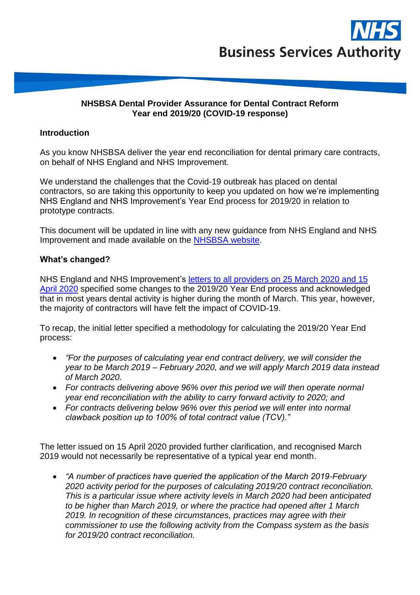

### **NHSBSA Dental Provider Assurance for Dental Contract Reform Year end 2019/20 (COVID-19 response)**

### **Introduction**

As you know NHSBSA deliver the year end reconciliation for dental primary care contracts, on behalf of NHS England and NHS Improvement.

We understand the challenges that the Covid-19 outbreak has placed on dental contractors, so are taking this opportunity to keep you updated on how we're implementing NHS England and NHS Improvement's Year End process for 2019/20 in relation to prototype contracts.

This document will be updated in line with any new guidance from NHS England and NHS Improvement and made available on the [NHSBSA](https://www.nhsbsa.nhs.uk/dental-provider-assurance/dental-activity-reviews/mid-yearyear-end-contract-reconciliation) website.

### **What's changed?**

NHS England and NHS Improvement's letters [to all providers on 25 March 2020](https://www.england.nhs.uk/coronavirus/publication/preparedness-letters-for-dental-care/) and 15 [April 2020](https://www.england.nhs.uk/coronavirus/publication/preparedness-letters-for-dental-care/) specified some changes to the 2019/20 Year End process and acknowledged that in most years dental activity is higher during the month of March. This year, however, the majority of contractors will have felt the impact of COVID-19.

To recap, the initial letter specified a methodology for calculating the 2019/20 Year End process:

- *"For the purposes of calculating year end contract delivery, we will consider the year to be March 2019 – February 2020, and we will apply March 2019 data instead of March 2020.*
- *For contracts delivering above 96% over this period we will then operate normal year end reconciliation with the ability to carry forward activity to 2020; and*
- *For contracts delivering below 96% over this period we will enter into normal clawback position up to 100% of total contract value (TCV)."*

The letter issued on 15 April 2020 provided further clarification, and recognised March 2019 would not necessarily be representative of a typical year end month.

• *"A number of practices have queried the application of the March 2019-February 2020 activity period for the purposes of calculating 2019/20 contract reconciliation. This is a particular issue where activity levels in March 2020 had been anticipated to be higher than March 2019, or where the practice had opened after 1 March 2019. In recognition of these circumstances, practices may agree with their commissioner to use the following activity from the Compass system as the basis for 2019/20 contract reconciliation.*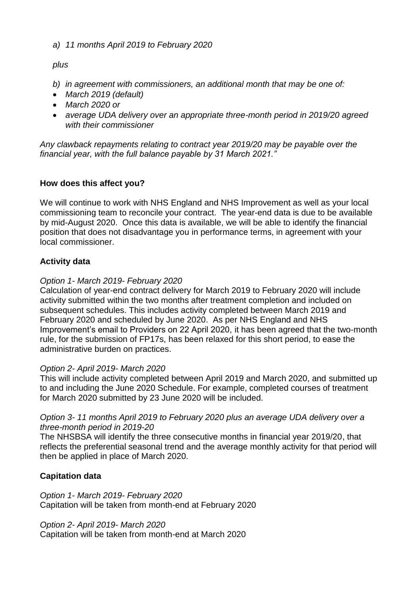## *a) 11 months April 2019 to February 2020*

## *plus*

- *b) in agreement with commissioners, an additional month that may be one of:*
- *March 2019 (default)*
- *March 2020 or*
- *average UDA delivery over an appropriate three-month period in 2019/20 agreed with their commissioner*

*Any clawback repayments relating to contract year 2019/20 may be payable over the financial year, with the full balance payable by 31 March 2021."*

## **How does this affect you?**

We will continue to work with NHS England and NHS Improvement as well as your local commissioning team to reconcile your contract. The year-end data is due to be available by mid-August 2020. Once this data is available, we will be able to identify the financial position that does not disadvantage you in performance terms, in agreement with your local commissioner.

## **Activity data**

## *Option 1- March 2019- February 2020*

Calculation of year-end contract delivery for March 2019 to February 2020 will include activity submitted within the two months after treatment completion and included on subsequent schedules. This includes activity completed between March 2019 and February 2020 and scheduled by June 2020. As per NHS England and NHS Improvement's email to Providers on 22 April 2020, it has been agreed that the two-month rule, for the submission of FP17s, has been relaxed for this short period, to ease the administrative burden on practices.

### *Option 2- April 2019- March 2020*

This will include activity completed between April 2019 and March 2020, and submitted up to and including the June 2020 Schedule. For example, completed courses of treatment for March 2020 submitted by 23 June 2020 will be included.

## *Option 3- 11 months April 2019 to February 2020 plus an average UDA delivery over a three-month period in 2019-20*

The NHSBSA will identify the three consecutive months in financial year 2019/20, that reflects the preferential seasonal trend and the average monthly activity for that period will then be applied in place of March 2020.

# **Capitation data**

*Option 1- March 2019- February 2020* Capitation will be taken from month-end at February 2020

*Option 2- April 2019- March 2020*

Capitation will be taken from month-end at March 2020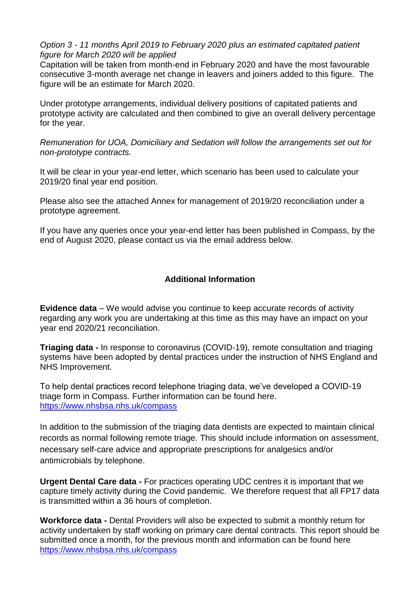## *Option 3 - 11 months April 2019 to February 2020 plus an estimated capitated patient figure for March 2020 will be applied*

Capitation will be taken from month-end in February 2020 and have the most favourable consecutive 3-month average net change in leavers and joiners added to this figure. The figure will be an estimate for March 2020.

Under prototype arrangements, individual delivery positions of capitated patients and prototype activity are calculated and then combined to give an overall delivery percentage for the year.

*Remuneration for UOA, Domiciliary and Sedation will follow the arrangements set out for non-prototype contracts.*

It will be clear in your year-end letter, which scenario has been used to calculate your 2019/20 final year end position.

Please also see the attached Annex for management of 2019/20 reconciliation under a prototype agreement.

If you have any queries once your year-end letter has been published in Compass, by the end of August 2020, please contact us via the email address below.

## **Additional Information**

**Evidence data** – We would advise you continue to keep accurate records of activity regarding any work you are undertaking at this time as this may have an impact on your year end 2020/21 reconciliation.

**Triaging data -** In response to coronavirus (COVID-19), remote consultation and triaging systems have been adopted by dental practices under the instruction of NHS England and NHS Improvement.

To help dental practices record telephone triaging data, we've developed a COVID-19 triage form in Compass. Further information can be found here. <https://www.nhsbsa.nhs.uk/compass>

In addition to the submission of the triaging data dentists are expected to maintain clinical records as normal following remote triage. This should include information on assessment, necessary self-care advice and appropriate prescriptions for analgesics and/or antimicrobials by telephone.

**Urgent Dental Care data -** For practices operating UDC centres it is important that we capture timely activity during the Covid pandemic. We therefore request that all FP17 data is transmitted within a 36 hours of completion.

**Workforce data -** Dental Providers will also be expected to submit a monthly return for activity undertaken by staff working on primary care dental contracts. This report should be submitted once a month, for the previous month and information can be found here <https://www.nhsbsa.nhs.uk/compass>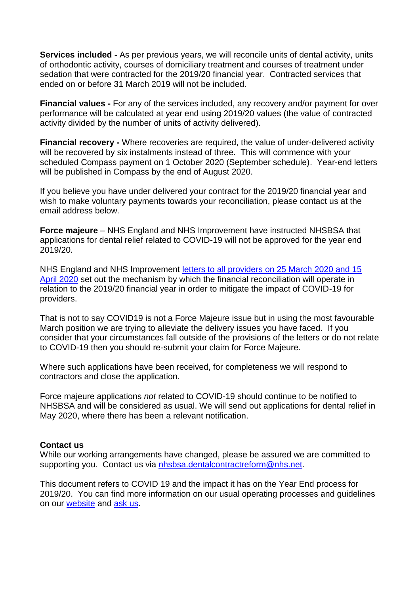**Services included -** As per previous years, we will reconcile units of dental activity, units of orthodontic activity, courses of domiciliary treatment and courses of treatment under sedation that were contracted for the 2019/20 financial year. Contracted services that ended on or before 31 March 2019 will not be included.

**Financial values -** For any of the services included, any recovery and/or payment for over performance will be calculated at year end using 2019/20 values (the value of contracted activity divided by the number of units of activity delivered).

**Financial recovery -** Where recoveries are required, the value of under-delivered activity will be recovered by six instalments instead of three. This will commence with your scheduled Compass payment on 1 October 2020 (September schedule). Year-end letters will be published in Compass by the end of August 2020.

If you believe you have under delivered your contract for the 2019/20 financial year and wish to make voluntary payments towards your reconciliation, please contact us at the email address below.

**Force majeure** – NHS England and NHS Improvement have instructed NHSBSA that applications for dental relief related to COVID-19 will not be approved for the year end 2019/20.

NHS England and NHS Improvement [letters to all providers on 25 March 2020 and 15](https://www.england.nhs.uk/coronavirus/publication/preparedness-letters-for-dental-care/) [April 2020](https://www.england.nhs.uk/coronavirus/publication/preparedness-letters-for-dental-care/) set out the mechanism by which the financial reconciliation will operate in relation to the 2019/20 financial year in order to mitigate the impact of COVID-19 for providers.

That is not to say COVID19 is not a Force Majeure issue but in using the most favourable March position we are trying to alleviate the delivery issues you have faced. If you consider that your circumstances fall outside of the provisions of the letters or do not relate to COVID-19 then you should re-submit your claim for Force Majeure.

Where such applications have been received, for completeness we will respond to contractors and close the application.

Force majeure applications *not* related to COVID-19 should continue to be notified to NHSBSA and will be considered as usual. We will send out applications for dental relief in May 2020, where there has been a relevant notification.

### **Contact us**

While our working arrangements have changed, please be assured we are committed to supporting you. Contact us via [nhsbsa.dentalcontractreform@nhs.net.](mailto:nhsbsa.dentalcontractreform@nhs.net)

This document refers to COVID 19 and the impact it has on the Year End process for 2019/20. You can find more information on our usual operating processes and guidelines on our [website](https://www.nhsbsa.nhs.uk/dental-provider-assurance/dental-assurance-reviews/mid-yearyear-end-contract-reconciliation) and [ask us.](https://contactcentreservices.nhsbsa.nhs.uk/selfnhsukokb/AskUs_Dental/en-gb/9689/nhs-dental-services/)